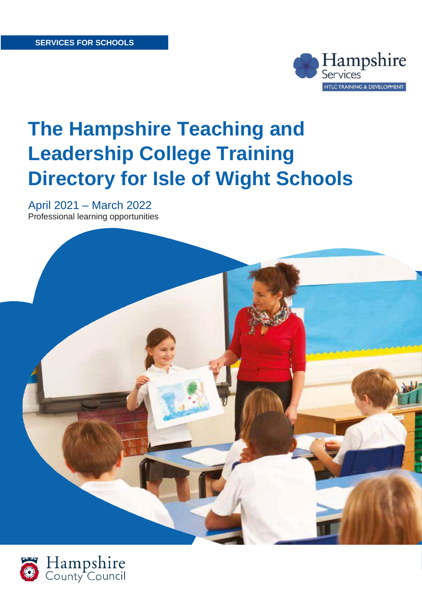

# **The Hampshire Teaching and Leadership College Training Directory for Isle of Wight Schools**

April 2021 – March 2022 Professional learning opportunities



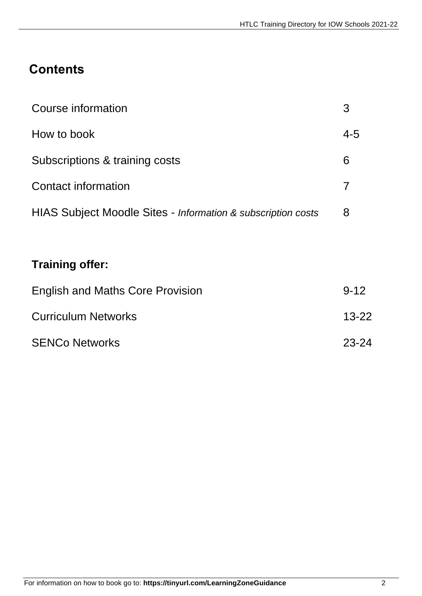# **Contents**

| Course information                                           |     |
|--------------------------------------------------------------|-----|
| How to book                                                  | 4-5 |
| Subscriptions & training costs                               | 6   |
| Contact information                                          |     |
| HIAS Subject Moodle Sites - Information & subscription costs | 8   |

# **Training offer:**

| <b>English and Maths Core Provision</b> | $9 - 12$  |
|-----------------------------------------|-----------|
| <b>Curriculum Networks</b>              | $13 - 22$ |
| <b>SENCo Networks</b>                   | 23-24     |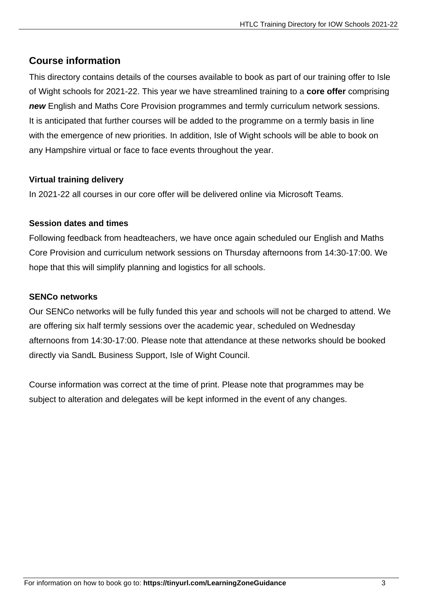### **Course information**

This directory contains details of the courses available to book as part of our training offer to Isle of Wight schools for 2021-22. This year we have streamlined training to a **core offer** comprising *new* English and Maths Core Provision programmes and termly curriculum network sessions. It is anticipated that further courses will be added to the programme on a termly basis in line with the emergence of new priorities. In addition, Isle of Wight schools will be able to book on any Hampshire virtual or face to face events throughout the year.

#### **Virtual training delivery**

In 2021-22 all courses in our core offer will be delivered online via Microsoft Teams.

#### **Session dates and times**

Following feedback from headteachers, we have once again scheduled our English and Maths Core Provision and curriculum network sessions on Thursday afternoons from 14:30-17:00. We hope that this will simplify planning and logistics for all schools.

#### **SENCo networks**

Our SENCo networks will be fully funded this year and schools will not be charged to attend. We are offering six half termly sessions over the academic year, scheduled on Wednesday afternoons from 14:30-17:00. Please note that attendance at these networks should be booked directly via SandL Business Support, Isle of Wight Council.

Course information was correct at the time of print. Please note that programmes may be subject to alteration and delegates will be kept informed in the event of any changes.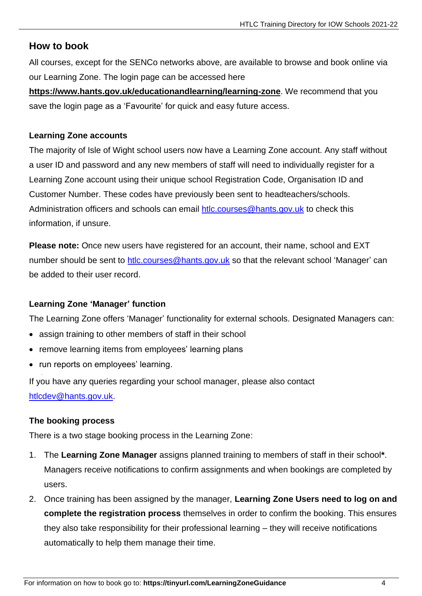#### **How to book**

All courses, except for the SENCo networks above, are available to browse and book online via our Learning Zone. The login page can be accessed here

**<https://www.hants.gov.uk/educationandlearning/learning-zone>**. We recommend that you save the login page as a 'Favourite' for quick and easy future access.

#### **Learning Zone accounts**

The majority of Isle of Wight school users now have a Learning Zone account. Any staff without a user ID and password and any new members of staff will need to individually register for a Learning Zone account using their unique school Registration Code, Organisation ID and Customer Number. These codes have previously been sent to headteachers/schools. Administration officers and schools can email [htlc.courses@hants.gov.uk](mailto:htlc.courses@hants.gov.uk) to check this information, if unsure.

**Please note:** Once new users have registered for an account, their name, school and EXT number should be sent to [htlc.courses@hants.gov.uk](mailto:htlc.courses@hants.gov.uk) so that the relevant school 'Manager' can be added to their user record.

#### **Learning Zone 'Manager' function**

The Learning Zone offers 'Manager' functionality for external schools. Designated Managers can:

- assign training to other members of staff in their school
- remove learning items from employees' learning plans
- run reports on employees' learning.

If you have any queries regarding your school manager, please also contact [htlcdev@hants.gov.uk.](mailto:htlcdev@hants.gov.uk)

#### **The booking process**

There is a two stage booking process in the Learning Zone:

- 1. The **Learning Zone Manager** assigns planned training to members of staff in their school**\***. Managers receive notifications to confirm assignments and when bookings are completed by users.
- 2. Once training has been assigned by the manager, **Learning Zone Users need to log on and complete the registration process** themselves in order to confirm the booking. This ensures they also take responsibility for their professional learning – they will receive notifications automatically to help them manage their time.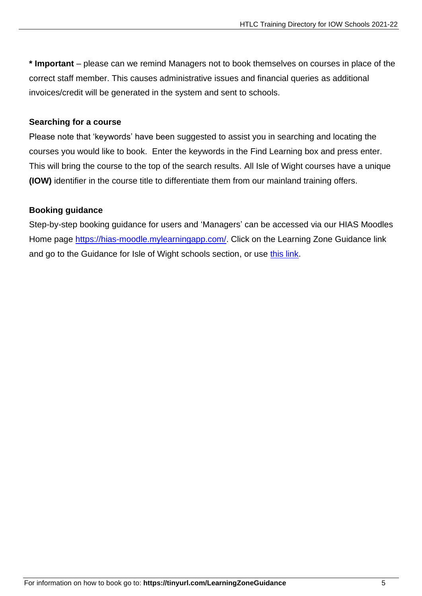**\* Important** – please can we remind Managers not to book themselves on courses in place of the correct staff member. This causes administrative issues and financial queries as additional invoices/credit will be generated in the system and sent to schools.

#### **Searching for a course**

Please note that 'keywords' have been suggested to assist you in searching and locating the courses you would like to book. Enter the keywords in the Find Learning box and press enter. This will bring the course to the top of the search results. All Isle of Wight courses have a unique **(IOW)** identifier in the course title to differentiate them from our mainland training offers.

#### **Booking guidance**

Step-by-step booking guidance for users and 'Managers' can be accessed via our HIAS Moodles Home page [https://hias-moodle.mylearningapp.com/.](https://hias-moodle.mylearningapp.com/) Click on the Learning Zone Guidance link and go to the Guidance for Isle of Wight schools section, or use [this link.](https://hias-moodle.mylearningapp.com/mod/page/view.php?id=481)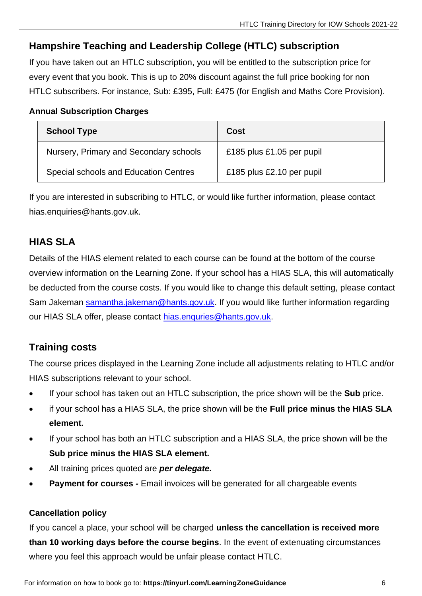## **Hampshire Teaching and Leadership College (HTLC) subscription**

If you have taken out an HTLC subscription, you will be entitled to the subscription price for every event that you book. This is up to 20% discount against the full price booking for non HTLC subscribers. For instance, Sub: £395, Full: £475 (for English and Maths Core Provision).

#### **Annual Subscription Charges**

| <b>School Type</b>                     | Cost                      |
|----------------------------------------|---------------------------|
| Nursery, Primary and Secondary schools | £185 plus £1.05 per pupil |
| Special schools and Education Centres  | £185 plus £2.10 per pupil |

If you are interested in subscribing to HTLC, or would like further information, please contact [hias.enquiries@hants.gov.uk.](mailto:hias.enquiries@hants.gov.uk)

## **HIAS SLA**

Details of the HIAS element related to each course can be found at the bottom of the course overview information on the Learning Zone. If your school has a HIAS SLA, this will automatically be deducted from the course costs. If you would like to change this default setting, please contact Sam Jakeman [samantha.jakeman@hants.gov.uk.](mailto:samantha.jakeman@hants.gov.uk) If you would like further information regarding our HIAS SLA offer, please contact [hias.enquries@hants.gov.uk.](mailto:hias.enquries@hants.gov.uk)

### **Training costs**

The course prices displayed in the Learning Zone include all adjustments relating to HTLC and/or HIAS subscriptions relevant to your school.

- If your school has taken out an HTLC subscription, the price shown will be the **Sub** price.
- if your school has a HIAS SLA, the price shown will be the **Full price minus the HIAS SLA element.**
- If your school has both an HTLC subscription and a HIAS SLA, the price shown will be the **Sub price minus the HIAS SLA element.**
- All training prices quoted are *per delegate.*
- **Payment for courses Email invoices will be generated for all chargeable events**

#### **Cancellation policy**

If you cancel a place, your school will be charged **unless the cancellation is received more than 10 working days before the course begins**. In the event of extenuating circumstances where you feel this approach would be unfair please contact HTLC.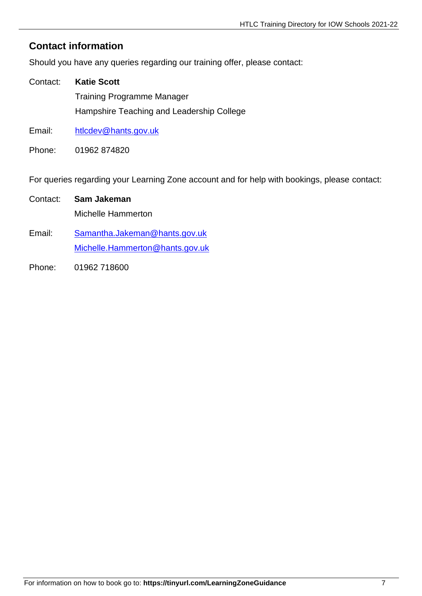### **Contact information**

Should you have any queries regarding our training offer, please contact:

- Contact: **Katie Scott** Training Programme Manager Hampshire Teaching and Leadership College
- Email: [htlcdev@hants.gov.uk](mailto:htlcdev@hants.gov.uk)
- Phone: 01962 874820

For queries regarding your Learning Zone account and for help with bookings, please contact:

## Contact: **Sam Jakeman** Michelle Hammerton

- Email: [Samantha.Jakeman@hants.gov.uk](mailto:Samantha.Jakeman@hants.gov.uk) [Michelle.Hammerton@hants.gov.uk](mailto:Michelle.Hammerton@hants.gov.uk)
- Phone: 01962 718600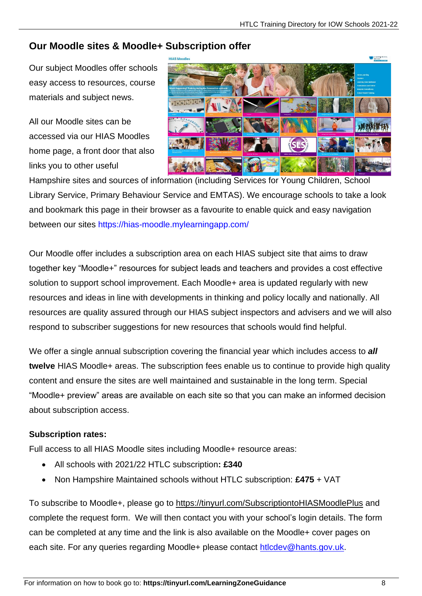### **Our Moodle sites & Moodle+ Subscription offer**

Our subject Moodles offer schools easy access to resources, course materials and subject news.

All our Moodle sites can be accessed via our HIAS Moodles home page, a front door that also links you to other useful



Hampshire sites and sources of information (including Services for Young Children, School Library Service, Primary Behaviour Service and EMTAS). We encourage schools to take a look and bookmark this page in their browser as a favourite to enable quick and easy navigation between our sites<https://hias-moodle.mylearningapp.com/>

Our Moodle offer includes a subscription area on each HIAS subject site that aims to draw together key "Moodle+" resources for subject leads and teachers and provides a cost effective solution to support school improvement. Each Moodle+ area is updated regularly with new resources and ideas in line with developments in thinking and policy locally and nationally. All resources are quality assured through our HIAS subject inspectors and advisers and we will also respond to subscriber suggestions for new resources that schools would find helpful.

We offer a single annual subscription covering the financial year which includes access to *all* **twelve** HIAS Moodle+ areas. The subscription fees enable us to continue to provide high quality content and ensure the sites are well maintained and sustainable in the long term. Special "Moodle+ preview" areas are available on each site so that you can make an informed decision about subscription access.

#### **Subscription rates:**

Full access to all HIAS Moodle sites including Moodle+ resource areas:

- All schools with 2021/22 HTLC subscription**: £340**
- Non Hampshire Maintained schools without HTLC subscription: **£475** + VAT

To subscribe to Moodle+, please go to<https://tinyurl.com/SubscriptiontoHIASMoodlePlus> and complete the request form. We will then contact you with your school's login details. The form can be completed at any time and the link is also available on the Moodle+ cover pages on each site. For any queries regarding Moodle+ please contact [htlcdev@hants.gov.uk.](mailto:htlcdev@hants.gov.uk)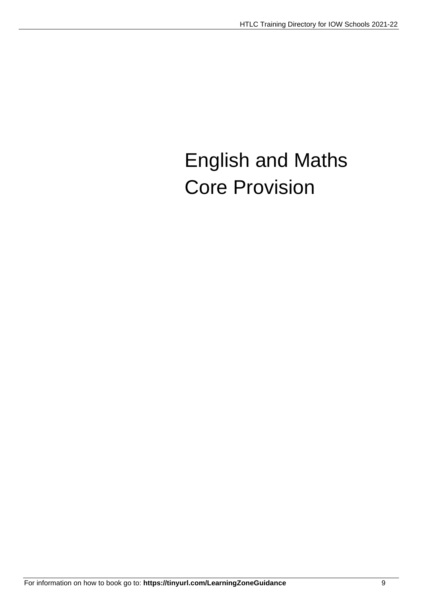# English and Maths Core Provision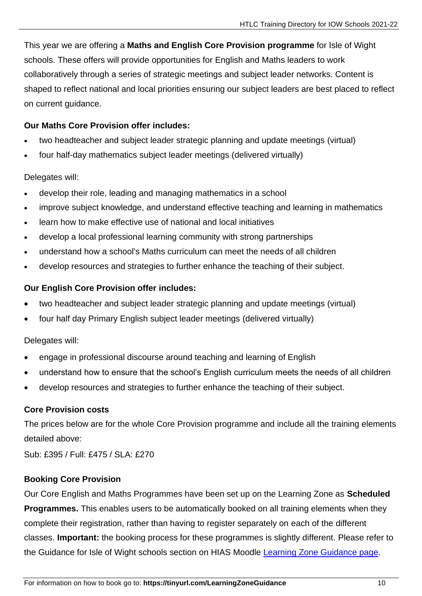This year we are offering a **Maths and English Core Provision programme** for Isle of Wight schools. These offers will provide opportunities for English and Maths leaders to work collaboratively through a series of strategic meetings and subject leader networks. Content is shaped to reflect national and local priorities ensuring our subject leaders are best placed to reflect on current guidance.

#### **Our Maths Core Provision offer includes:**

- two headteacher and subject leader strategic planning and update meetings (virtual)
- four half-day mathematics subject leader meetings (delivered virtually)

#### Delegates will:

- develop their role, leading and managing mathematics in a school
- improve subject knowledge, and understand effective teaching and learning in mathematics
- learn how to make effective use of national and local initiatives
- develop a local professional learning community with strong partnerships
- understand how a school's Maths curriculum can meet the needs of all children
- develop resources and strategies to further enhance the teaching of their subject.

#### **Our English Core Provision offer includes:**

- two headteacher and subject leader strategic planning and update meetings (virtual)
- four half day Primary English subject leader meetings (delivered virtually)

Delegates will:

- engage in professional discourse around teaching and learning of English
- understand how to ensure that the school's English curriculum meets the needs of all children
- develop resources and strategies to further enhance the teaching of their subject.

#### **Core Provision costs**

The prices below are for the whole Core Provision programme and include all the training elements detailed above:

Sub: £395 / Full: £475 / SLA: £270

#### **Booking Core Provision**

Our Core English and Maths Programmes have been set up on the Learning Zone as **Scheduled Programmes.** This enables users to be automatically booked on all training elements when they complete their registration, rather than having to register separately on each of the different classes. **Important:** the booking process for these programmes is slightly different. Please refer to the Guidance for Isle of Wight schools section on HIAS Moodle [Learning Zone Guidance page.](https://hias-moodle.mylearningapp.com/mod/page/view.php?id=481)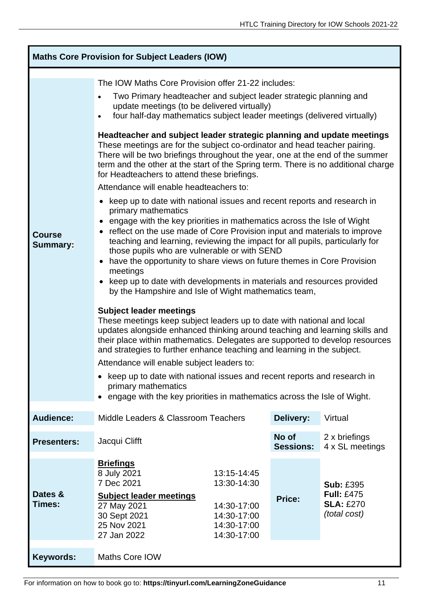| <b>Maths Core Provision for Subject Leaders (IOW)</b> |                                                                                                                                                                                                                                                                                                                                                                                                                                                                                                                                                                                                                                                                                                                                                                                                                                                                                                                                                                                                                                                                                                                                                                                                                                                                                                                                                                                                                                                                                                                                                                                                                                                                                                                                                                                                                                                                 |                                                                                        |                  |                                                                           |
|-------------------------------------------------------|-----------------------------------------------------------------------------------------------------------------------------------------------------------------------------------------------------------------------------------------------------------------------------------------------------------------------------------------------------------------------------------------------------------------------------------------------------------------------------------------------------------------------------------------------------------------------------------------------------------------------------------------------------------------------------------------------------------------------------------------------------------------------------------------------------------------------------------------------------------------------------------------------------------------------------------------------------------------------------------------------------------------------------------------------------------------------------------------------------------------------------------------------------------------------------------------------------------------------------------------------------------------------------------------------------------------------------------------------------------------------------------------------------------------------------------------------------------------------------------------------------------------------------------------------------------------------------------------------------------------------------------------------------------------------------------------------------------------------------------------------------------------------------------------------------------------------------------------------------------------|----------------------------------------------------------------------------------------|------------------|---------------------------------------------------------------------------|
| <b>Course</b><br><b>Summary:</b>                      | The IOW Maths Core Provision offer 21-22 includes:<br>Two Primary headteacher and subject leader strategic planning and<br>update meetings (to be delivered virtually)<br>four half-day mathematics subject leader meetings (delivered virtually)<br>$\bullet$<br>Headteacher and subject leader strategic planning and update meetings<br>These meetings are for the subject co-ordinator and head teacher pairing.<br>There will be two briefings throughout the year, one at the end of the summer<br>term and the other at the start of the Spring term. There is no additional charge<br>for Headteachers to attend these briefings.<br>Attendance will enable headteachers to:<br>• keep up to date with national issues and recent reports and research in<br>primary mathematics<br>engage with the key priorities in mathematics across the Isle of Wight<br>$\bullet$<br>reflect on the use made of Core Provision input and materials to improve<br>$\bullet$<br>teaching and learning, reviewing the impact for all pupils, particularly for<br>those pupils who are vulnerable or with SEND<br>have the opportunity to share views on future themes in Core Provision<br>$\bullet$<br>meetings<br>keep up to date with developments in materials and resources provided<br>$\bullet$<br>by the Hampshire and Isle of Wight mathematics team,<br><b>Subject leader meetings</b><br>These meetings keep subject leaders up to date with national and local<br>updates alongside enhanced thinking around teaching and learning skills and<br>their place within mathematics. Delegates are supported to develop resources<br>and strategies to further enhance teaching and learning in the subject.<br>Attendance will enable subject leaders to:<br>keep up to date with national issues and recent reports and research in<br>primary mathematics |                                                                                        |                  | • engage with the key priorities in mathematics across the Isle of Wight. |
| <b>Audience:</b>                                      | Middle Leaders & Classroom Teachers                                                                                                                                                                                                                                                                                                                                                                                                                                                                                                                                                                                                                                                                                                                                                                                                                                                                                                                                                                                                                                                                                                                                                                                                                                                                                                                                                                                                                                                                                                                                                                                                                                                                                                                                                                                                                             |                                                                                        | Delivery:        | Virtual                                                                   |
| <b>Presenters:</b>                                    | No of<br>Jacqui Clifft                                                                                                                                                                                                                                                                                                                                                                                                                                                                                                                                                                                                                                                                                                                                                                                                                                                                                                                                                                                                                                                                                                                                                                                                                                                                                                                                                                                                                                                                                                                                                                                                                                                                                                                                                                                                                                          |                                                                                        | <b>Sessions:</b> | 2 x briefings<br>4 x SL meetings                                          |
| Dates &<br>Times:                                     | <u>Briefings</u><br>8 July 2021<br>7 Dec 2021<br><b>Subject leader meetings</b><br>27 May 2021<br>30 Sept 2021<br>25 Nov 2021<br>27 Jan 2022                                                                                                                                                                                                                                                                                                                                                                                                                                                                                                                                                                                                                                                                                                                                                                                                                                                                                                                                                                                                                                                                                                                                                                                                                                                                                                                                                                                                                                                                                                                                                                                                                                                                                                                    | 13:15-14:45<br>13:30-14:30<br>14:30-17:00<br>14:30-17:00<br>14:30-17:00<br>14:30-17:00 | <b>Price:</b>    | <b>Sub: £395</b><br><b>Full: £475</b><br><b>SLA: £270</b><br>(total cost) |
| <b>Keywords:</b>                                      | Maths Core IOW                                                                                                                                                                                                                                                                                                                                                                                                                                                                                                                                                                                                                                                                                                                                                                                                                                                                                                                                                                                                                                                                                                                                                                                                                                                                                                                                                                                                                                                                                                                                                                                                                                                                                                                                                                                                                                                  |                                                                                        |                  |                                                                           |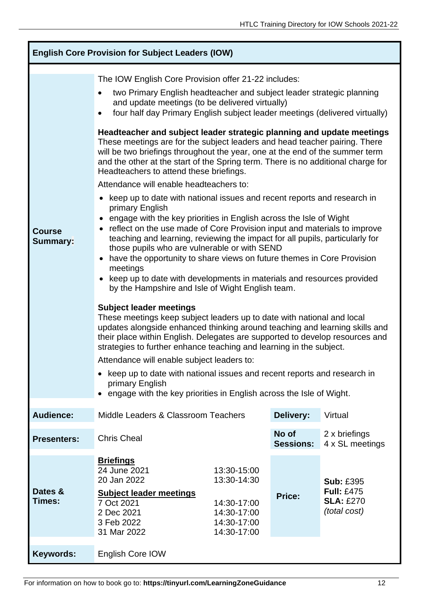| <b>English Core Provision for Subject Leaders (IOW)</b> |                                                                                                                                                                                                                                                                                                                                                                                                                                                                                                                                                                                                                                                                                                                                                                                                                                                                                                                                                                                                                                                                                                                                                                                                                                                                                                                                                                                                                                                                                                                                                                                                                                                                                                                                                                                                                                                                           |                                                                                        |                           |                                                                           |
|---------------------------------------------------------|---------------------------------------------------------------------------------------------------------------------------------------------------------------------------------------------------------------------------------------------------------------------------------------------------------------------------------------------------------------------------------------------------------------------------------------------------------------------------------------------------------------------------------------------------------------------------------------------------------------------------------------------------------------------------------------------------------------------------------------------------------------------------------------------------------------------------------------------------------------------------------------------------------------------------------------------------------------------------------------------------------------------------------------------------------------------------------------------------------------------------------------------------------------------------------------------------------------------------------------------------------------------------------------------------------------------------------------------------------------------------------------------------------------------------------------------------------------------------------------------------------------------------------------------------------------------------------------------------------------------------------------------------------------------------------------------------------------------------------------------------------------------------------------------------------------------------------------------------------------------------|----------------------------------------------------------------------------------------|---------------------------|---------------------------------------------------------------------------|
| <b>Course</b><br><b>Summary:</b>                        | The IOW English Core Provision offer 21-22 includes:<br>two Primary English headteacher and subject leader strategic planning<br>and update meetings (to be delivered virtually)<br>four half day Primary English subject leader meetings (delivered virtually)<br>$\bullet$<br>Headteacher and subject leader strategic planning and update meetings<br>These meetings are for the subject leaders and head teacher pairing. There<br>will be two briefings throughout the year, one at the end of the summer term<br>and the other at the start of the Spring term. There is no additional charge for<br>Headteachers to attend these briefings.<br>Attendance will enable headteachers to:<br>• keep up to date with national issues and recent reports and research in<br>primary English<br>engage with the key priorities in English across the Isle of Wight<br>• reflect on the use made of Core Provision input and materials to improve<br>teaching and learning, reviewing the impact for all pupils, particularly for<br>those pupils who are vulnerable or with SEND<br>have the opportunity to share views on future themes in Core Provision<br>meetings<br>keep up to date with developments in materials and resources provided<br>by the Hampshire and Isle of Wight English team.<br><b>Subject leader meetings</b><br>These meetings keep subject leaders up to date with national and local<br>updates alongside enhanced thinking around teaching and learning skills and<br>their place within English. Delegates are supported to develop resources and<br>strategies to further enhance teaching and learning in the subject.<br>Attendance will enable subject leaders to:<br>keep up to date with national issues and recent reports and research in<br>primary English<br>engage with the key priorities in English across the Isle of Wight. |                                                                                        |                           |                                                                           |
| <b>Audience:</b>                                        | Middle Leaders & Classroom Teachers                                                                                                                                                                                                                                                                                                                                                                                                                                                                                                                                                                                                                                                                                                                                                                                                                                                                                                                                                                                                                                                                                                                                                                                                                                                                                                                                                                                                                                                                                                                                                                                                                                                                                                                                                                                                                                       |                                                                                        | <b>Delivery:</b>          | Virtual                                                                   |
| <b>Presenters:</b>                                      | <b>Chris Cheal</b>                                                                                                                                                                                                                                                                                                                                                                                                                                                                                                                                                                                                                                                                                                                                                                                                                                                                                                                                                                                                                                                                                                                                                                                                                                                                                                                                                                                                                                                                                                                                                                                                                                                                                                                                                                                                                                                        |                                                                                        | No of<br><b>Sessions:</b> | 2 x briefings<br>4 x SL meetings                                          |
| Dates &<br>Times:                                       | <b>Briefings</b><br>24 June 2021<br>20 Jan 2022<br><b>Subject leader meetings</b><br>7 Oct 2021<br>2 Dec 2021<br>3 Feb 2022<br>31 Mar 2022                                                                                                                                                                                                                                                                                                                                                                                                                                                                                                                                                                                                                                                                                                                                                                                                                                                                                                                                                                                                                                                                                                                                                                                                                                                                                                                                                                                                                                                                                                                                                                                                                                                                                                                                | 13:30-15:00<br>13:30-14:30<br>14:30-17:00<br>14:30-17:00<br>14:30-17:00<br>14:30-17:00 | Price:                    | <b>Sub: £395</b><br><b>Full: £475</b><br><b>SLA: £270</b><br>(total cost) |
| <b>Keywords:</b>                                        | English Core IOW                                                                                                                                                                                                                                                                                                                                                                                                                                                                                                                                                                                                                                                                                                                                                                                                                                                                                                                                                                                                                                                                                                                                                                                                                                                                                                                                                                                                                                                                                                                                                                                                                                                                                                                                                                                                                                                          |                                                                                        |                           |                                                                           |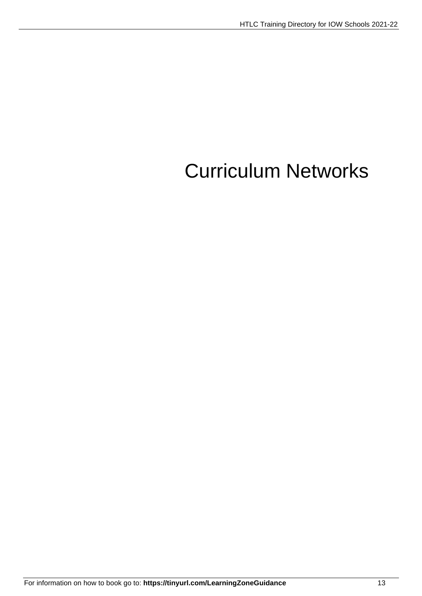# Curriculum Networks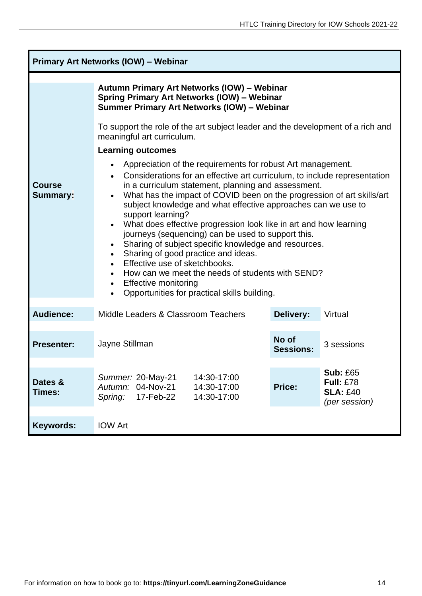| <b>Primary Art Networks (IOW) - Webinar</b> |                                                                                                                                                                                                                                                                                                                                                                                                                                                                                                                                                                                                                                                                                                                                                                                                                                                                                                                                                                                                                                                                    |        |                                                                         |
|---------------------------------------------|--------------------------------------------------------------------------------------------------------------------------------------------------------------------------------------------------------------------------------------------------------------------------------------------------------------------------------------------------------------------------------------------------------------------------------------------------------------------------------------------------------------------------------------------------------------------------------------------------------------------------------------------------------------------------------------------------------------------------------------------------------------------------------------------------------------------------------------------------------------------------------------------------------------------------------------------------------------------------------------------------------------------------------------------------------------------|--------|-------------------------------------------------------------------------|
| <b>Course</b><br><b>Summary:</b>            | Autumn Primary Art Networks (IOW) - Webinar<br><b>Spring Primary Art Networks (IOW) - Webinar</b><br>Summer Primary Art Networks (IOW) - Webinar<br>To support the role of the art subject leader and the development of a rich and<br>meaningful art curriculum.<br><b>Learning outcomes</b><br>Appreciation of the requirements for robust Art management.<br>$\bullet$<br>Considerations for an effective art curriculum, to include representation<br>in a curriculum statement, planning and assessment.<br>What has the impact of COVID been on the progression of art skills/art<br>$\bullet$<br>subject knowledge and what effective approaches can we use to<br>support learning?<br>What does effective progression look like in art and how learning<br>journeys (sequencing) can be used to support this.<br>Sharing of subject specific knowledge and resources.<br>Sharing of good practice and ideas.<br>$\bullet$<br>Effective use of sketchbooks.<br>$\bullet$<br>How can we meet the needs of students with SEND?<br><b>Effective monitoring</b> |        |                                                                         |
| <b>Audience:</b>                            | Middle Leaders & Classroom Teachers<br>Delivery:<br>Virtual                                                                                                                                                                                                                                                                                                                                                                                                                                                                                                                                                                                                                                                                                                                                                                                                                                                                                                                                                                                                        |        |                                                                         |
| <b>Presenter:</b>                           | No of<br>Jayne Stillman<br>3 sessions<br><b>Sessions:</b>                                                                                                                                                                                                                                                                                                                                                                                                                                                                                                                                                                                                                                                                                                                                                                                                                                                                                                                                                                                                          |        |                                                                         |
| Dates &<br>Times:                           | Summer: 20-May-21<br>14:30-17:00<br>04-Nov-21<br>Autumn:<br>14:30-17:00<br>17-Feb-22<br>14:30-17:00<br>Spring:                                                                                                                                                                                                                                                                                                                                                                                                                                                                                                                                                                                                                                                                                                                                                                                                                                                                                                                                                     | Price: | <b>Sub: £65</b><br><b>Full: £78</b><br><b>SLA: £40</b><br>(per session) |
| Keywords:                                   | <b>IOW Art</b>                                                                                                                                                                                                                                                                                                                                                                                                                                                                                                                                                                                                                                                                                                                                                                                                                                                                                                                                                                                                                                                     |        |                                                                         |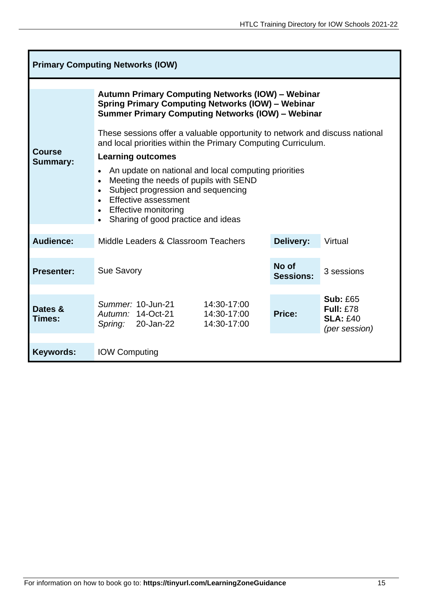| <b>Primary Computing Networks (IOW)</b> |                                                                                                                                                                                                                                                                                                                                                                                                                                                                                                                                                                                                         |                           |                                                                         |
|-----------------------------------------|---------------------------------------------------------------------------------------------------------------------------------------------------------------------------------------------------------------------------------------------------------------------------------------------------------------------------------------------------------------------------------------------------------------------------------------------------------------------------------------------------------------------------------------------------------------------------------------------------------|---------------------------|-------------------------------------------------------------------------|
| <b>Course</b><br><b>Summary:</b>        | <b>Autumn Primary Computing Networks (IOW) - Webinar</b><br><b>Spring Primary Computing Networks (IOW) - Webinar</b><br><b>Summer Primary Computing Networks (IOW) - Webinar</b><br>These sessions offer a valuable opportunity to network and discuss national<br>and local priorities within the Primary Computing Curriculum.<br><b>Learning outcomes</b><br>An update on national and local computing priorities<br>Meeting the needs of pupils with SEND<br>Subject progression and sequencing<br><b>Effective assessment</b><br><b>Effective monitoring</b><br>Sharing of good practice and ideas |                           |                                                                         |
| Audience:                               | Middle Leaders & Classroom Teachers<br>Delivery:<br>Virtual                                                                                                                                                                                                                                                                                                                                                                                                                                                                                                                                             |                           |                                                                         |
| <b>Presenter:</b>                       | <b>Sue Savory</b>                                                                                                                                                                                                                                                                                                                                                                                                                                                                                                                                                                                       | No of<br><b>Sessions:</b> | 3 sessions                                                              |
| Dates &<br>Times:                       | Summer: 10-Jun-21<br>14:30-17:00<br>14:30-17:00<br>Autumn: 14-Oct-21<br>Spring: 20-Jan-22<br>14:30-17:00                                                                                                                                                                                                                                                                                                                                                                                                                                                                                                | Price:                    | <b>Sub: £65</b><br><b>Full: £78</b><br><b>SLA: £40</b><br>(per session) |
| <b>Keywords:</b>                        | <b>IOW Computing</b>                                                                                                                                                                                                                                                                                                                                                                                                                                                                                                                                                                                    |                           |                                                                         |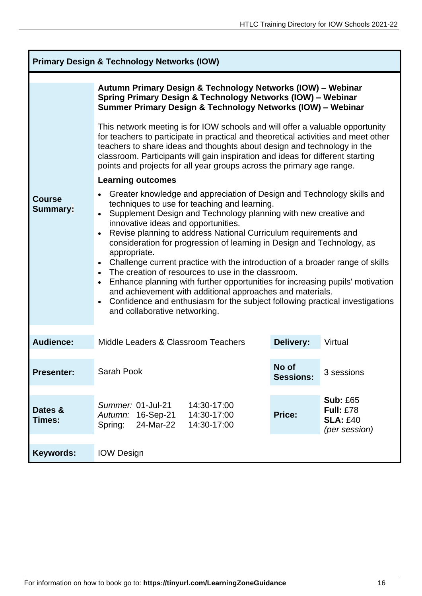| <b>Primary Design &amp; Technology Networks (IOW)</b> |                                                                                                                                                                                                                                                                                                                                                                                                                                                                                                                                                                                                                                                                                                                                                                                                                               |                  |                                                                         |  |
|-------------------------------------------------------|-------------------------------------------------------------------------------------------------------------------------------------------------------------------------------------------------------------------------------------------------------------------------------------------------------------------------------------------------------------------------------------------------------------------------------------------------------------------------------------------------------------------------------------------------------------------------------------------------------------------------------------------------------------------------------------------------------------------------------------------------------------------------------------------------------------------------------|------------------|-------------------------------------------------------------------------|--|
|                                                       | Autumn Primary Design & Technology Networks (IOW) - Webinar<br>Spring Primary Design & Technology Networks (IOW) - Webinar<br>Summer Primary Design & Technology Networks (IOW) - Webinar                                                                                                                                                                                                                                                                                                                                                                                                                                                                                                                                                                                                                                     |                  |                                                                         |  |
|                                                       | This network meeting is for IOW schools and will offer a valuable opportunity<br>for teachers to participate in practical and theoretical activities and meet other<br>teachers to share ideas and thoughts about design and technology in the<br>classroom. Participants will gain inspiration and ideas for different starting<br>points and projects for all year groups across the primary age range.                                                                                                                                                                                                                                                                                                                                                                                                                     |                  |                                                                         |  |
|                                                       | <b>Learning outcomes</b>                                                                                                                                                                                                                                                                                                                                                                                                                                                                                                                                                                                                                                                                                                                                                                                                      |                  |                                                                         |  |
| <b>Course</b><br><b>Summary:</b>                      | Greater knowledge and appreciation of Design and Technology skills and<br>techniques to use for teaching and learning.<br>Supplement Design and Technology planning with new creative and<br>$\bullet$<br>innovative ideas and opportunities.<br>Revise planning to address National Curriculum requirements and<br>consideration for progression of learning in Design and Technology, as<br>appropriate.<br>Challenge current practice with the introduction of a broader range of skills<br>The creation of resources to use in the classroom.<br>Enhance planning with further opportunities for increasing pupils' motivation<br>$\bullet$<br>and achievement with additional approaches and materials.<br>Confidence and enthusiasm for the subject following practical investigations<br>and collaborative networking. |                  |                                                                         |  |
| <b>Audience:</b>                                      | Middle Leaders & Classroom Teachers                                                                                                                                                                                                                                                                                                                                                                                                                                                                                                                                                                                                                                                                                                                                                                                           | <b>Delivery:</b> | Virtual                                                                 |  |
| <b>Presenter:</b>                                     | No of<br>Sarah Pook<br>3 sessions<br><b>Sessions:</b>                                                                                                                                                                                                                                                                                                                                                                                                                                                                                                                                                                                                                                                                                                                                                                         |                  |                                                                         |  |
| Dates &<br>Times:                                     | Summer: 01-Jul-21<br>14:30-17:00<br>14:30-17:00<br>Autumn: 16-Sep-21<br>24-Mar-22<br>14:30-17:00<br>Spring:                                                                                                                                                                                                                                                                                                                                                                                                                                                                                                                                                                                                                                                                                                                   | Price:           | <b>Sub: £65</b><br><b>Full: £78</b><br><b>SLA: £40</b><br>(per session) |  |
| <b>Keywords:</b>                                      | <b>IOW Design</b>                                                                                                                                                                                                                                                                                                                                                                                                                                                                                                                                                                                                                                                                                                                                                                                                             |                  |                                                                         |  |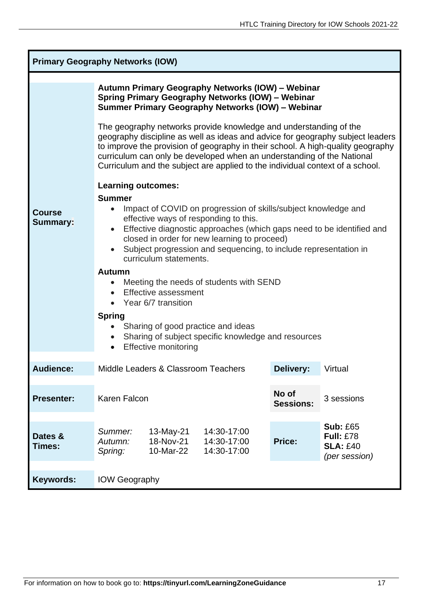| <b>Primary Geography Networks (IOW)</b> |                                                                                                                                                                                                                                                                                                                                                                                                                                                                                                                                                                                                                           |                                     |                                           |               |                                                                         |
|-----------------------------------------|---------------------------------------------------------------------------------------------------------------------------------------------------------------------------------------------------------------------------------------------------------------------------------------------------------------------------------------------------------------------------------------------------------------------------------------------------------------------------------------------------------------------------------------------------------------------------------------------------------------------------|-------------------------------------|-------------------------------------------|---------------|-------------------------------------------------------------------------|
|                                         | Autumn Primary Geography Networks (IOW) - Webinar<br>Spring Primary Geography Networks (IOW) - Webinar<br>Summer Primary Geography Networks (IOW) - Webinar                                                                                                                                                                                                                                                                                                                                                                                                                                                               |                                     |                                           |               |                                                                         |
|                                         | The geography networks provide knowledge and understanding of the<br>geography discipline as well as ideas and advice for geography subject leaders<br>to improve the provision of geography in their school. A high-quality geography<br>curriculum can only be developed when an understanding of the National<br>Curriculum and the subject are applied to the individual context of a school.                                                                                                                                                                                                                         |                                     |                                           |               |                                                                         |
| <b>Course</b><br><b>Summary:</b>        | <b>Learning outcomes:</b><br><b>Summer</b><br>Impact of COVID on progression of skills/subject knowledge and<br>effective ways of responding to this.<br>Effective diagnostic approaches (which gaps need to be identified and<br>$\bullet$<br>closed in order for new learning to proceed)<br>Subject progression and sequencing, to include representation in<br>curriculum statements.<br><b>Autumn</b><br>Meeting the needs of students with SEND<br><b>Effective assessment</b><br>Year 6/7 transition<br><b>Spring</b><br>Sharing of good practice and ideas<br>Sharing of subject specific knowledge and resources |                                     |                                           |               |                                                                         |
| <b>Audience:</b>                        | Delivery:<br>Middle Leaders & Classroom Teachers<br>Virtual                                                                                                                                                                                                                                                                                                                                                                                                                                                                                                                                                               |                                     |                                           |               |                                                                         |
| <b>Presenter:</b>                       | No of<br>Karen Falcon<br>3 sessions<br><b>Sessions:</b>                                                                                                                                                                                                                                                                                                                                                                                                                                                                                                                                                                   |                                     |                                           |               |                                                                         |
| Dates &<br>Times:                       | Summer:<br>Autumn:<br>Spring:                                                                                                                                                                                                                                                                                                                                                                                                                                                                                                                                                                                             | 13-May-21<br>18-Nov-21<br>10-Mar-22 | 14:30-17:00<br>14:30-17:00<br>14:30-17:00 | <b>Price:</b> | <b>Sub: £65</b><br><b>Full: £78</b><br><b>SLA: £40</b><br>(per session) |
| <b>Keywords:</b>                        | <b>IOW Geography</b>                                                                                                                                                                                                                                                                                                                                                                                                                                                                                                                                                                                                      |                                     |                                           |               |                                                                         |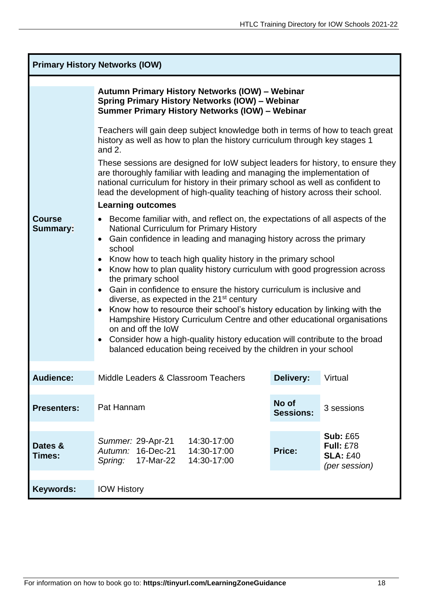| <b>Primary History Networks (IOW)</b> |                                                                                                                                                                                                                                                                                                                                |                           |                                                      |
|---------------------------------------|--------------------------------------------------------------------------------------------------------------------------------------------------------------------------------------------------------------------------------------------------------------------------------------------------------------------------------|---------------------------|------------------------------------------------------|
|                                       | Autumn Primary History Networks (IOW) - Webinar<br>Spring Primary History Networks (IOW) - Webinar<br>Summer Primary History Networks (IOW) - Webinar                                                                                                                                                                          |                           |                                                      |
|                                       | Teachers will gain deep subject knowledge both in terms of how to teach great<br>history as well as how to plan the history curriculum through key stages 1<br>and $2$ .                                                                                                                                                       |                           |                                                      |
|                                       | These sessions are designed for IoW subject leaders for history, to ensure they<br>are thoroughly familiar with leading and managing the implementation of<br>national curriculum for history in their primary school as well as confident to<br>lead the development of high-quality teaching of history across their school. |                           |                                                      |
|                                       | <b>Learning outcomes</b>                                                                                                                                                                                                                                                                                                       |                           |                                                      |
| <b>Course</b><br><b>Summary:</b>      | • Become familiar with, and reflect on, the expectations of all aspects of the<br><b>National Curriculum for Primary History</b>                                                                                                                                                                                               |                           |                                                      |
|                                       | Gain confidence in leading and managing history across the primary<br>$\bullet$                                                                                                                                                                                                                                                |                           |                                                      |
|                                       | school<br>Know how to teach high quality history in the primary school                                                                                                                                                                                                                                                         |                           |                                                      |
|                                       | Know how to plan quality history curriculum with good progression across<br>the primary school                                                                                                                                                                                                                                 |                           |                                                      |
|                                       | Gain in confidence to ensure the history curriculum is inclusive and                                                                                                                                                                                                                                                           |                           |                                                      |
|                                       | diverse, as expected in the $21st$ century<br>Know how to resource their school's history education by linking with the                                                                                                                                                                                                        |                           |                                                      |
|                                       | Hampshire History Curriculum Centre and other educational organisations<br>on and off the loW                                                                                                                                                                                                                                  |                           |                                                      |
|                                       | Consider how a high-quality history education will contribute to the broad                                                                                                                                                                                                                                                     |                           |                                                      |
|                                       | balanced education being received by the children in your school                                                                                                                                                                                                                                                               |                           |                                                      |
| <b>Audience:</b>                      | Middle Leaders & Classroom Teachers                                                                                                                                                                                                                                                                                            | <b>Delivery:</b>          | Virtual                                              |
| <b>Presenters:</b>                    | Pat Hannam                                                                                                                                                                                                                                                                                                                     | No of<br><b>Sessions:</b> | 3 sessions                                           |
|                                       |                                                                                                                                                                                                                                                                                                                                |                           | <b>Sub: £65</b>                                      |
| Dates &<br>Times:                     | Summer: 29-Apr-21<br>14:30-17:00<br>16-Dec-21<br>14:30-17:00<br>Autumn:<br>17-Mar-22<br>14:30-17:00<br>Spring:                                                                                                                                                                                                                 | Price:                    | <b>Full: £78</b><br><b>SLA: £40</b><br>(per session) |
|                                       |                                                                                                                                                                                                                                                                                                                                |                           |                                                      |
| <b>Keywords:</b>                      | <b>IOW History</b>                                                                                                                                                                                                                                                                                                             |                           |                                                      |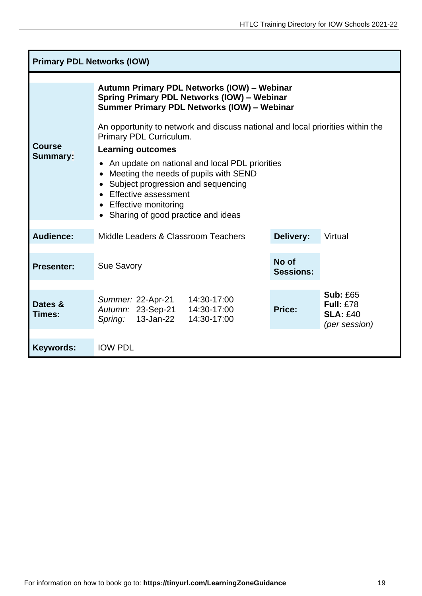| <b>Primary PDL Networks (IOW)</b> |                                                                                                                                                                                                                                                                                                                                                                                                                                                                                                                  |                           |                                                                         |  |
|-----------------------------------|------------------------------------------------------------------------------------------------------------------------------------------------------------------------------------------------------------------------------------------------------------------------------------------------------------------------------------------------------------------------------------------------------------------------------------------------------------------------------------------------------------------|---------------------------|-------------------------------------------------------------------------|--|
| <b>Course</b><br><b>Summary:</b>  | Autumn Primary PDL Networks (IOW) - Webinar<br>Spring Primary PDL Networks (IOW) - Webinar<br>Summer Primary PDL Networks (IOW) - Webinar<br>An opportunity to network and discuss national and local priorities within the<br>Primary PDL Curriculum.<br><b>Learning outcomes</b><br>An update on national and local PDL priorities<br>Meeting the needs of pupils with SEND<br>Subject progression and sequencing<br>Effective assessment<br><b>Effective monitoring</b><br>Sharing of good practice and ideas |                           |                                                                         |  |
| Audience:                         | Middle Leaders & Classroom Teachers                                                                                                                                                                                                                                                                                                                                                                                                                                                                              | Delivery:                 | Virtual                                                                 |  |
| <b>Presenter:</b>                 | <b>Sue Savory</b>                                                                                                                                                                                                                                                                                                                                                                                                                                                                                                | No of<br><b>Sessions:</b> |                                                                         |  |
| Dates &<br><b>Times:</b>          | Summer: 22-Apr-21<br>14:30-17:00<br>Autumn: 23-Sep-21<br>14:30-17:00<br>13-Jan-22<br>14:30-17:00<br>Spring:                                                                                                                                                                                                                                                                                                                                                                                                      | Price:                    | <b>Sub: £65</b><br><b>Full: £78</b><br><b>SLA: £40</b><br>(per session) |  |
| <b>Keywords:</b>                  | <b>IOW PDL</b>                                                                                                                                                                                                                                                                                                                                                                                                                                                                                                   |                           |                                                                         |  |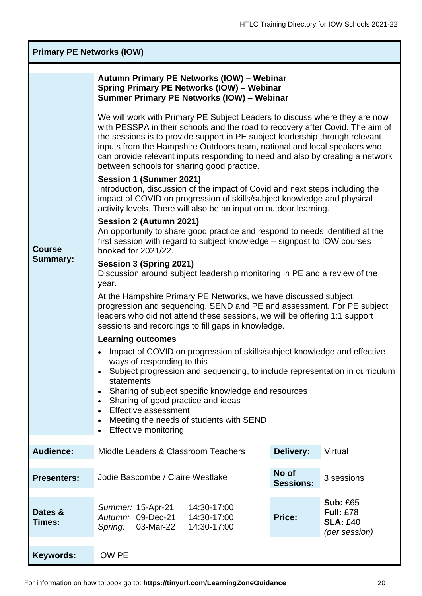| <b>Primary PE Networks (IOW)</b>                                                                                                                                                                                            |                                                                                                                                                                                                                                                                                                                                                                                                                                                        |                  |                                                                         |  |
|-----------------------------------------------------------------------------------------------------------------------------------------------------------------------------------------------------------------------------|--------------------------------------------------------------------------------------------------------------------------------------------------------------------------------------------------------------------------------------------------------------------------------------------------------------------------------------------------------------------------------------------------------------------------------------------------------|------------------|-------------------------------------------------------------------------|--|
|                                                                                                                                                                                                                             | Autumn Primary PE Networks (IOW) - Webinar<br>Spring Primary PE Networks (IOW) - Webinar<br>Summer Primary PE Networks (IOW) - Webinar                                                                                                                                                                                                                                                                                                                 |                  |                                                                         |  |
|                                                                                                                                                                                                                             | We will work with Primary PE Subject Leaders to discuss where they are now<br>with PESSPA in their schools and the road to recovery after Covid. The aim of<br>the sessions is to provide support in PE subject leadership through relevant<br>inputs from the Hampshire Outdoors team, national and local speakers who<br>can provide relevant inputs responding to need and also by creating a network<br>between schools for sharing good practice. |                  |                                                                         |  |
|                                                                                                                                                                                                                             | Session 1 (Summer 2021)<br>Introduction, discussion of the impact of Covid and next steps including the<br>impact of COVID on progression of skills/subject knowledge and physical<br>activity levels. There will also be an input on outdoor learning.                                                                                                                                                                                                |                  |                                                                         |  |
| Session 2 (Autumn 2021)<br>An opportunity to share good practice and respond to needs identified at the<br>first session with regard to subject knowledge – signpost to IOW courses<br><b>Course</b><br>booked for 2021/22. |                                                                                                                                                                                                                                                                                                                                                                                                                                                        |                  |                                                                         |  |
| <b>Summary:</b>                                                                                                                                                                                                             | Session 3 (Spring 2021)<br>Discussion around subject leadership monitoring in PE and a review of the<br>year.                                                                                                                                                                                                                                                                                                                                          |                  |                                                                         |  |
|                                                                                                                                                                                                                             | At the Hampshire Primary PE Networks, we have discussed subject<br>progression and sequencing, SEND and PE and assessment. For PE subject<br>leaders who did not attend these sessions, we will be offering 1:1 support<br>sessions and recordings to fill gaps in knowledge.                                                                                                                                                                          |                  |                                                                         |  |
|                                                                                                                                                                                                                             | <b>Learning outcomes</b>                                                                                                                                                                                                                                                                                                                                                                                                                               |                  |                                                                         |  |
|                                                                                                                                                                                                                             | Impact of COVID on progression of skills/subject knowledge and effective<br>ways of responding to this                                                                                                                                                                                                                                                                                                                                                 |                  |                                                                         |  |
|                                                                                                                                                                                                                             | Subject progression and sequencing, to include representation in curriculum<br>$\bullet$                                                                                                                                                                                                                                                                                                                                                               |                  |                                                                         |  |
|                                                                                                                                                                                                                             | statements<br>Sharing of subject specific knowledge and resources<br>$\bullet$                                                                                                                                                                                                                                                                                                                                                                         |                  |                                                                         |  |
|                                                                                                                                                                                                                             | Sharing of good practice and ideas<br>$\bullet$<br><b>Effective assessment</b><br>$\bullet$                                                                                                                                                                                                                                                                                                                                                            |                  |                                                                         |  |
|                                                                                                                                                                                                                             | Meeting the needs of students with SEND<br><b>Effective monitoring</b>                                                                                                                                                                                                                                                                                                                                                                                 |                  |                                                                         |  |
| <b>Audience:</b>                                                                                                                                                                                                            | Middle Leaders & Classroom Teachers                                                                                                                                                                                                                                                                                                                                                                                                                    | Delivery:        | Virtual                                                                 |  |
|                                                                                                                                                                                                                             |                                                                                                                                                                                                                                                                                                                                                                                                                                                        | No of            |                                                                         |  |
| <b>Presenters:</b>                                                                                                                                                                                                          | Jodie Bascombe / Claire Westlake                                                                                                                                                                                                                                                                                                                                                                                                                       | <b>Sessions:</b> | 3 sessions                                                              |  |
| Dates &<br>Times:                                                                                                                                                                                                           | 14:30-17:00<br>Summer: 15-Apr-21<br>Autumn: 09-Dec-21<br>14:30-17:00<br>03-Mar-22<br>Spring:<br>14:30-17:00                                                                                                                                                                                                                                                                                                                                            | Price:           | <b>Sub: £65</b><br><b>Full: £78</b><br><b>SLA: £40</b><br>(per session) |  |
| <b>Keywords:</b>                                                                                                                                                                                                            | <b>IOW PE</b>                                                                                                                                                                                                                                                                                                                                                                                                                                          |                  |                                                                         |  |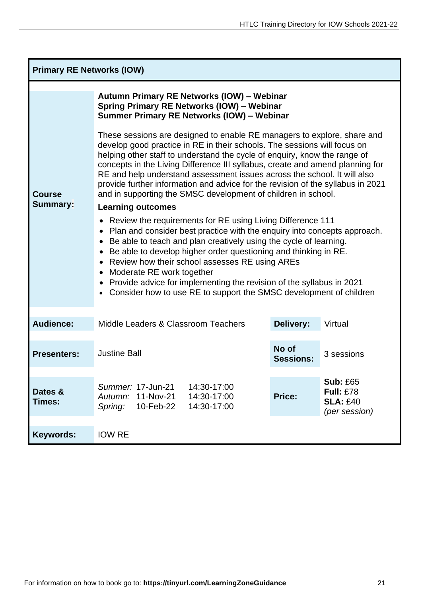| <b>Primary RE Networks (IOW)</b> |                                                                                                                                                                                                                                                                                                                                                                                                                                                                                                                                                         |                           |                                                                         |  |
|----------------------------------|---------------------------------------------------------------------------------------------------------------------------------------------------------------------------------------------------------------------------------------------------------------------------------------------------------------------------------------------------------------------------------------------------------------------------------------------------------------------------------------------------------------------------------------------------------|---------------------------|-------------------------------------------------------------------------|--|
| <b>Course</b><br><b>Summary:</b> | Autumn Primary RE Networks (IOW) - Webinar<br><b>Spring Primary RE Networks (IOW) - Webinar</b><br>Summer Primary RE Networks (IOW) - Webinar                                                                                                                                                                                                                                                                                                                                                                                                           |                           |                                                                         |  |
|                                  | These sessions are designed to enable RE managers to explore, share and<br>develop good practice in RE in their schools. The sessions will focus on<br>helping other staff to understand the cycle of enquiry, know the range of<br>concepts in the Living Difference III syllabus, create and amend planning for<br>RE and help understand assessment issues across the school. It will also<br>provide further information and advice for the revision of the syllabus in 2021<br>and in supporting the SMSC development of children in school.       |                           |                                                                         |  |
|                                  | <b>Learning outcomes</b>                                                                                                                                                                                                                                                                                                                                                                                                                                                                                                                                |                           |                                                                         |  |
|                                  | Review the requirements for RE using Living Difference 111<br>٠<br>Plan and consider best practice with the enquiry into concepts approach.<br>Be able to teach and plan creatively using the cycle of learning.<br>$\bullet$<br>Be able to develop higher order questioning and thinking in RE.<br>$\bullet$<br>Review how their school assesses RE using AREs<br>$\bullet$<br>Moderate RE work together<br>Provide advice for implementing the revision of the syllabus in 2021<br>Consider how to use RE to support the SMSC development of children |                           |                                                                         |  |
| Audience:                        | Middle Leaders & Classroom Teachers                                                                                                                                                                                                                                                                                                                                                                                                                                                                                                                     | Delivery:                 | Virtual                                                                 |  |
| <b>Presenters:</b>               | <b>Justine Ball</b>                                                                                                                                                                                                                                                                                                                                                                                                                                                                                                                                     | No of<br><b>Sessions:</b> | 3 sessions                                                              |  |
| Dates &<br>Times:                | Summer: 17-Jun-21<br>14:30-17:00<br>11-Nov-21<br>14:30-17:00<br>Autumn:<br>10-Feb-22<br>14:30-17:00<br>Spring:                                                                                                                                                                                                                                                                                                                                                                                                                                          | Price:                    | <b>Sub: £65</b><br><b>Full: £78</b><br><b>SLA: £40</b><br>(per session) |  |
| Keywords:                        | <b>IOW RE</b>                                                                                                                                                                                                                                                                                                                                                                                                                                                                                                                                           |                           |                                                                         |  |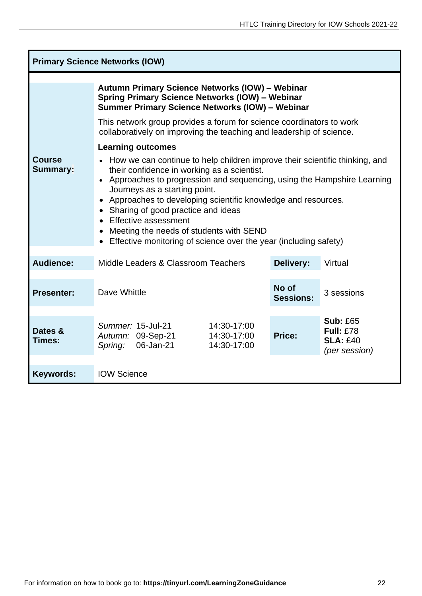| <b>Primary Science Networks (IOW)</b> |                                                                                                                                                                                                                                                                                                                                                                                                                                                                                                                         |                           |                                                                         |  |  |
|---------------------------------------|-------------------------------------------------------------------------------------------------------------------------------------------------------------------------------------------------------------------------------------------------------------------------------------------------------------------------------------------------------------------------------------------------------------------------------------------------------------------------------------------------------------------------|---------------------------|-------------------------------------------------------------------------|--|--|
|                                       | Autumn Primary Science Networks (IOW) - Webinar<br>Spring Primary Science Networks (IOW) - Webinar<br><b>Summer Primary Science Networks (IOW) - Webinar</b>                                                                                                                                                                                                                                                                                                                                                            |                           |                                                                         |  |  |
|                                       | This network group provides a forum for science coordinators to work<br>collaboratively on improving the teaching and leadership of science.                                                                                                                                                                                                                                                                                                                                                                            |                           |                                                                         |  |  |
| <b>Course</b><br><b>Summary:</b>      | <b>Learning outcomes</b><br>How we can continue to help children improve their scientific thinking, and<br>their confidence in working as a scientist.<br>• Approaches to progression and sequencing, using the Hampshire Learning<br>Journeys as a starting point.<br>Approaches to developing scientific knowledge and resources.<br>Sharing of good practice and ideas<br><b>Effective assessment</b><br>Meeting the needs of students with SEND<br>Effective monitoring of science over the year (including safety) |                           |                                                                         |  |  |
| <b>Audience:</b>                      | Middle Leaders & Classroom Teachers                                                                                                                                                                                                                                                                                                                                                                                                                                                                                     | <b>Delivery:</b>          | Virtual                                                                 |  |  |
| <b>Presenter:</b>                     | Dave Whittle                                                                                                                                                                                                                                                                                                                                                                                                                                                                                                            | No of<br><b>Sessions:</b> | 3 sessions                                                              |  |  |
| Dates &<br>Times:                     | Summer: 15-Jul-21<br>14:30-17:00<br>14:30-17:00<br>Autumn: 09-Sep-21<br>06-Jan-21<br>14:30-17:00<br>Spring:                                                                                                                                                                                                                                                                                                                                                                                                             | Price:                    | <b>Sub: £65</b><br><b>Full: £78</b><br><b>SLA: £40</b><br>(per session) |  |  |
| <b>Keywords:</b>                      | <b>IOW Science</b>                                                                                                                                                                                                                                                                                                                                                                                                                                                                                                      |                           |                                                                         |  |  |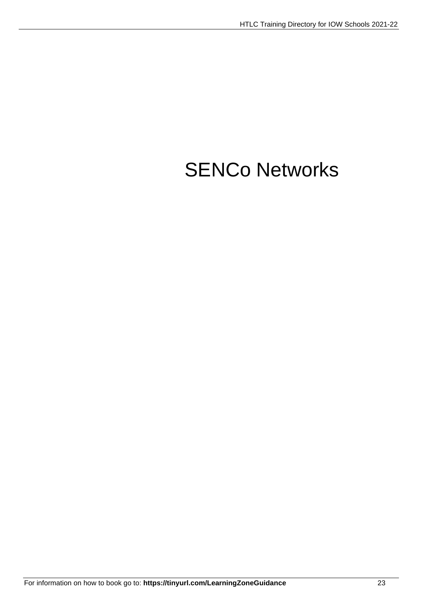# SENCo Networks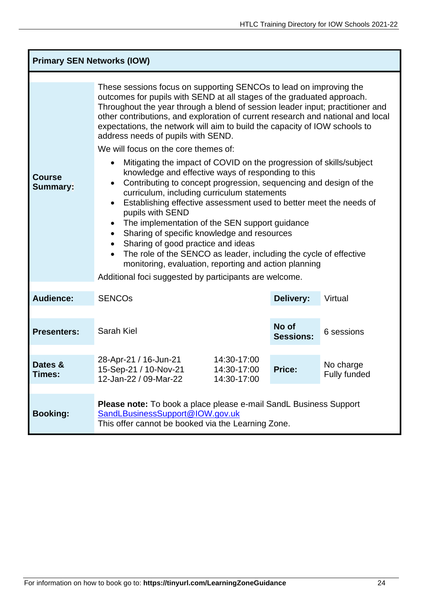| <b>Primary SEN Networks (IOW)</b> |                                                                                                                                                                                                                                                                                                                                                                                                                                                                                                                                                                                                                                                                                                                                                      |                           |                                  |  |  |  |
|-----------------------------------|------------------------------------------------------------------------------------------------------------------------------------------------------------------------------------------------------------------------------------------------------------------------------------------------------------------------------------------------------------------------------------------------------------------------------------------------------------------------------------------------------------------------------------------------------------------------------------------------------------------------------------------------------------------------------------------------------------------------------------------------------|---------------------------|----------------------------------|--|--|--|
|                                   | These sessions focus on supporting SENCOs to lead on improving the<br>outcomes for pupils with SEND at all stages of the graduated approach.<br>Throughout the year through a blend of session leader input; practitioner and<br>other contributions, and exploration of current research and national and local<br>expectations, the network will aim to build the capacity of IOW schools to<br>address needs of pupils with SEND.<br>We will focus on the core themes of:                                                                                                                                                                                                                                                                         |                           |                                  |  |  |  |
| <b>Course</b><br><b>Summary:</b>  | Mitigating the impact of COVID on the progression of skills/subject<br>$\bullet$<br>knowledge and effective ways of responding to this<br>Contributing to concept progression, sequencing and design of the<br>$\bullet$<br>curriculum, including curriculum statements<br>Establishing effective assessment used to better meet the needs of<br>$\bullet$<br>pupils with SEND<br>The implementation of the SEN support guidance<br>$\bullet$<br>Sharing of specific knowledge and resources<br>$\bullet$<br>Sharing of good practice and ideas<br>The role of the SENCO as leader, including the cycle of effective<br>$\bullet$<br>monitoring, evaluation, reporting and action planning<br>Additional foci suggested by participants are welcome. |                           |                                  |  |  |  |
| <b>Audience:</b>                  | <b>SENCOS</b>                                                                                                                                                                                                                                                                                                                                                                                                                                                                                                                                                                                                                                                                                                                                        | Delivery:                 | Virtual                          |  |  |  |
| <b>Presenters:</b>                | <b>Sarah Kiel</b>                                                                                                                                                                                                                                                                                                                                                                                                                                                                                                                                                                                                                                                                                                                                    | No of<br><b>Sessions:</b> | 6 sessions                       |  |  |  |
| Dates &<br>Times:                 | 28-Apr-21 / 16-Jun-21<br>14:30-17:00<br>15-Sep-21 / 10-Nov-21<br>14:30-17:00<br>12-Jan-22 / 09-Mar-22<br>14:30-17:00                                                                                                                                                                                                                                                                                                                                                                                                                                                                                                                                                                                                                                 | <b>Price:</b>             | No charge<br><b>Fully funded</b> |  |  |  |
| <b>Booking:</b>                   | <b>Please note:</b> To book a place please e-mail SandL Business Support<br>SandLBusinessSupport@IOW.gov.uk<br>This offer cannot be booked via the Learning Zone.                                                                                                                                                                                                                                                                                                                                                                                                                                                                                                                                                                                    |                           |                                  |  |  |  |